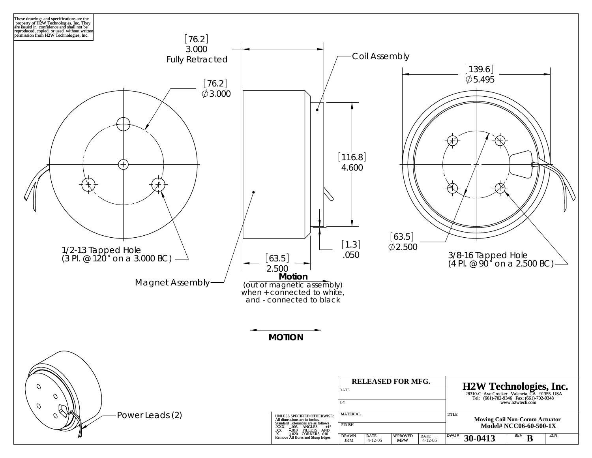